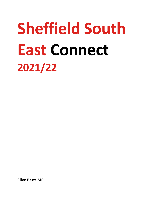# **Sheffield South East Connect 2021/22**

**Clive Betts MP**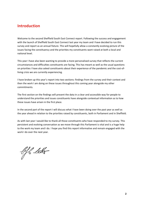#### **Introduction**

Welcome to the second Sheffield South East Connect report. Following the success and engagement with the launch of Sheffield South East Connect last year my team and I have decided to run this survey and report as an annual fixture. This will hopefully allow a constantly evolving picture of the issues facing the constituency and the priorities my constituents want raised at both a local and national level.

This year I have also been wanting to provide a more personalised survey that reflects the current circumstances and difficulties constituents are facing. This has meant as well as the usual questions on priorities I have also asked constituents about their experience of the pandemic and the cost-ofliving crisis we are currently experiencing.

I have broken up this year's report into two sections: findings from the survey and their context and then the work I am doing on these issues throughout this coming year alongside my other commitments.

The first section on the findings will present the data in a clear and accessible way for people to understand the priorities and issues constituents have alongside contextual information as to how these issues have arisen in the first place.

In the second part of the report I will discuss what I have been doing over the past year as well as the year ahead in relation to the priorities raised by constituents, both in Parliament and in Sheffield.

As with last year I would like to thank all those constituents who have responded to my survey. This persistent and evolving conversation as we move through this Parliament is vital and is a huge help to the work my team and I do. I hope you find this report informative and remain engaged with the work I do over the next year.

b f leks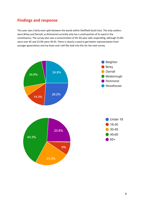### **Findings and response**

This year saw a fairly even split between the wards within Sheffield South East. The only outliers were Birley and Darnall, as Richmond currently only has a small portion of its ward in the constituency. The survey also saw a concentration of 45–65-year-olds responding, although 23.8% were over 65 and 23.9% were 30-45. There is clearly a need to get better representation from younger generations and my team and I will like look into this for the next survey.

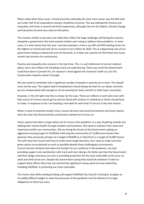When asked what three issues I should prioritise nationally the clear front runner was the NHS with just under half of all respondents saying it should be a priority. This was followed by Poverty and Inequality and Crime in second and third respectively, although Care for the Elderly, Climate Change and Education all came very close to third place.

This remains similar to last year and really does reflect the huge challenges still facing the country, alongside a government that have wasted another year trying to address these problems. In some cases, it is even worse than last year. Just two examples; crime is up 14% and NHS waiting times are the highest on record and only set to increase to ten million by 2024. This is a depressing case of our government taking us backwards and not forwards, so it does not surprise me that these two issues remain top concerns for constituents.

Poverty and inequality also remains in the top three. This is a sad inditement of current national policy, but it also reflects the hardships many are experiencing. There was much the Government could have done to prevent his, for instance I voted against the Universal Credit cut, but the Conservative majority voted it through.

We also need to remember that a significant number of people in poverty are in work. This should never be the case. The implicit deal of employment should always be that for our labour and time we are compensated with enough to not be wanting for food, warmth or other basic necessities.

However, in the UK right now that is simply not the case. There are millions in work who even with that source of income cannot get by and are faced with choices no individual or family should have to make. In response to this I am backing a new deal for work that I'll set out in the next section.

When it came to priorities locally Crime, Council Services and Local Environment and Green Spaces were the clear top three priorities constituents wanted me to focus on.

Green spaces have been a huge safety net for many in the pandemic as a way of getting outside and helping their mental health through isolation and loneliness. We need to maintain their value and importance within our communities. We are facing the threat of the Government seeking an aggressive housing target for Sheffield, enforcing the construction of 13,000 extra homes than planned, they previously already set a target of 40,000 so in total there is a target of 53,000 homes. This will mean the Council will have to make some tough decisions, but I want to make sure that green spaces are protected as much as possible despite these challenging circumstances. Council services similarly have been the linchpin for our resilience in the pandemic, not only providing support and coordination with track and trace (doing a far better job than the Government and their dodgy contracts), but also in providing protection for the most vulnerable to the virus via adult and child social care. Despite the Government saying they would do whatever it takes to support these efforts they have not covered the significant money spent by local authorities, including Sheffield, in protecting our most vulnerable.

This means that while needing funding and support Sheffield City Council is having to navigate an incredibly difficult budget to meet the pressures of the pandemic and the delivery of its legal obligations to these key areas.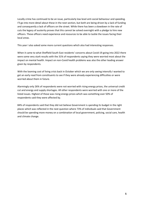Locally crime has continued to be an issue, particularly low level anti-social behaviour and speeding. I'll go into more detail about these in the next section, but both are being driven by a lack of funding and consequently a lack of officers on the street. While there has been a slowdown in the rate of cuts the legacy of austerity proves that this cannot be solved overnight with a pledge to hire new officers. These officers need experience and resources to be able to tackle the issues facing their local areas.

This year I also asked some more current questions which also had interesting responses.

When it came to what Sheffield South East residents' concerns about Covid-19 going into 2022 there were some very stark results with the 31% of respondents saying they were worried most about the impact on mental health. Impact on non-Covid health problems was also the other leading answer given by respondents.

With the looming cost of living crisis back in October which we are only seeing intensify I wanted to get an early read from constituents to see if they were already experiencing difficulties or were worried about them in future.

Alarmingly only 26% of respondents were not worried with rising energy prices, the universal credit cut and energy and supply shortages. All other respondents were worried with one or more of the listed issues. Highest of those was rising energy prices which was something over 50% of respondents said they were affected by.

84% of respondents said that they did not believe Government is spending its budget in the right places which was reflected in the next question where 73% of individuals said that Government should be spending more money on a combination of local government, policing, social care, health and climate change.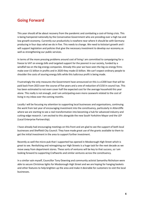#### **Going Forward**

This year should all be about recovery from the pandemic and combating a cost-of-living crisis. This is being hampered nationally by the Conservative Government who are presiding over a high tax and low growth economy. Currently our productivity is nowhere near where it should be with Germany producing in four days what we do in five. This needs to change. We need to kickstart growth and I will support legislation and policies that give the necessary investment to develop our economy as well as strengthening our public services.

In terms of the more pressing problems around cost of living I am committed to campaigning for a freeze to VAT on energy bills and targeted support for the poorest in our society, funded by a windfall tax on the big energy companies. Already this year we have seen the big six energy firms make over £1 billion in profits and in 2020 they made £3 billion. We can't expect ordinary people to shoulder the costs of souring energy bills while this ludicrous profit is being made.

Frustratingly the only measures the Government have announced on this is a £200 loan that will be paid back from 2023 over the course of five years and a one of reduction of £150 in council tax. This has been estimated to not even cover half the expected cost for the average household this year alone. This really is not enough, and I am anticipating even more casework related to the cost of living in my inbox over the coming months.

Locally I will be focusing my attention to supporting local businesses and organisations, continuing the work from last year of encouraging investment into the constituency, particularly in Attercliffe where we are starting to see a real transformation into becoming a hub for advanced industry and cutting-edge research. I am excited to this alongside the new South Yorkshire Mayor and the LEP (Local Enterprise Partnership).

I have already had encouraging meetings on this front and am glad to see the support of both local businesses and Sheffield City Council. They have made great use of the grants available to them to get the initial investment in the area to support further investment.

Recently as well the micro-pub that I supported has opened in Mosborough High Street which is great to see. Revitalising and reimagining our High Streets is a huge task for the next decade as we move away from department stores. These sorts of ventures will be key to that success, so I am looking forward to supporting Craftworks and similar ventures across the constituency.

In a similar vain myself, Councillor Tony Downing and community activist Samantha Nicholson were able to secure Christmas lights for Mosborough High Street and we are hoping for hanging baskets and other features to help brighten up the area and make it desirable for customers to visit the local businesses.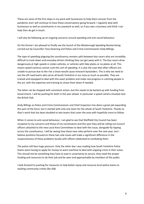These are some of the first steps in my work with businesses to help them recover from the pandemic and I will continue to have these conversations going forward. I regularly deal with businesses as well as constituents in my casework as well, so if you own a business and think I can help then do get in touch.

I will also be following up on ongoing concerns around speeding and anti-social behaviour.

On the former I am pleased to finally see the launch of the Mosborough Speeding Review being carried out by Councillor Tony Downing and Police and Crime Commissioner Andy Billings.

The type of speeding plaguing the constituency remains split between boy racers who are incredibly difficult to track down and everyday drivers thinking they can get away with it. The boy racers drive dangerously at high speeds in stolen vehicles, or vehicles with fake plates or no plates at all. This means speed cameras cannot curb this sort of speeding. It is also the case that often officers are unable to pursue due to the risk a chase would cause innocent bystanders. This is why we need to see the off-road teams who serve all South Yorkshire in our area as much as possible. They are trained and equipped to deal with this exact problem and make real progress in catching people in the act, with the expertise and training to chase them down if needed.

The latter can be stopped with consistent action, but this needs to be backed up with funding from Government. I will be pushing for both in the year ahead. In particular a speed camera situated near the British Oak.

Andy Billings as Police and Crime Commissioner and Chief Inspectors has done a great job expanding this part of the force, but it started with only one team for the whole of South Yorkshire. Thanks to Alan's work that has been doubled to two teams that cover the area with hopefully more to follow.

When it comes to anti-social behaviour, I am glad to see that Sheffield City Council has been receptive to my concerns and those of my constituents and this year they will be rolling out Council officers attached to the new Local Area Committees to deal with this issue, alongside fly-tipping across the constituency. I will be seeing how these new roles perform over the next year, but I believe positions focused on these two sole issues will make a significant difference in the responsiveness of these problems locally with officers dedicated to combating them.

The police still face huge pressure. Only the other day I was reading how South Yorkshire Police teams were having to apply for money to work overtime to deal with ongoing crime in their areas. This should not be something they have to wait in uncertainty to secure, they need the proper funding and resources to do their job and be seen and approachable by members of the public.

I look forward to pushing for measures to help better equip and resource local police teams to tackling community crimes like ASB.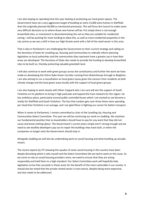I am also hoping on spending time this year looking at protecting our local green spaces. The Government have set a very aggressive target of building an extra 13,000 extra homes in Sheffield than the originally planned 40,000 as mentioned previously. This will force the Council to make some very difficult decisions as to where these new homes will be. Put simply there is not enough brownfield sites, or investment in decontaminating the soil so they are suitable for residential zoning. I will be pushing for more funding to allow this, as well as more residential properties in the city centre as we see a shift in how our High Streets work with a fall of the retail sector in this area.

That is why in Parliament I am challenging the Government on their current strategy and calling on the Secretary of State for Levelling up, Housing and Communities to radically reform planning legislation so local authorities and the communities they represent have a greater say in how their areas are developed. The Secretary of State also needs to provide the funding to develop brownfield sites to be built on, thereby protecting valuable greenbelt land.

I will also continue to work with green groups across the constituency and further the work we have made on developing the Ochre Dyke Green Corridor running from Waterthorpe through to Beighton. I am also aiming to run a consultation on local green issues given the concern from residents at both climate change and the local green areas locally with the support of local green groups.

I am also hoping to work closely with Oliver Coppard who I am sure will win the support of South Yorkshire on his platform to bring in high paid jobs and expand the tram network for the region. He has ambitious plans, particularly around public controlled buses which I am excited to see become a reality for Sheffield and South Yorkshire. The fact that London gets over three times more spending per head than Yorkshire is an outrage, and I am glad Oliver is fighting our corner for better transport.

When it comes to Parliament, I remain committed as chair of the Levelling Up, Housing and Communities Select Committee. This year we will be continuing our work on cladding. We maintain our fundamental position that no leaseholders should have to pay for any work that they did not cause and knew nothing about. The Government's current plans simply aren't strong enough and we need to see wealthy developers pay out to repair the buildings they have built, or when the companies no longer exist the Government should step in.

Alongside cladding we will also be undertaking work on social housing and what levelling up actually means.

The recent reports by ITV showing the squalor of some social housing in this country have been deeply disturbing which is why myself and the Select Committee felt we had to work on this issue. As we come to rely on social housing providers more, we need to ensure that they are acting responsibly and hold them to a high standard. Our Select Committee work will hopefully help legislation arrive that succeeds in these areas for the benefit of the most vulnerable in our society. It should also be noted that the private rented sector is even worse, despite being more expensive, and also needs to be addressed.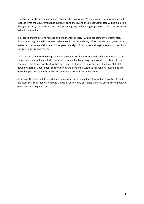Levelling up has begun to take shape following the Government's white paper, but its ambition still exceeds what the Government has currently announced, and the Select Committee will be exploring that gap and why the Government aren't providing any real funding or powers to help transform left behind communities.

In order to ensure a strong recover and end in work poverty I will be spending my Parliamentary time supporting a new deal for work which would seek to radically reform our current system with better pay, better conditions and full employment rights from day one alongside an end to zero hour contracts and fire and rehire.

I also remain committed to my position on providing local authorities with adequate funding to best serve their community and I will continue to use my Parliamentary time to call out this fact in the Commons. Right now, local authorities have been hit hardest by austerity and fundamentally let down by a lack of Government support during the pandemic. Without this funding levelling up will never happen and Council's will be forced to raise Council Tax on residents.

As always, this work will be in addition to my usual duties on behalf of individual constituents and the cases that they seek my help with. If you or your family or friends think my office can help with a particular case do get in touch.